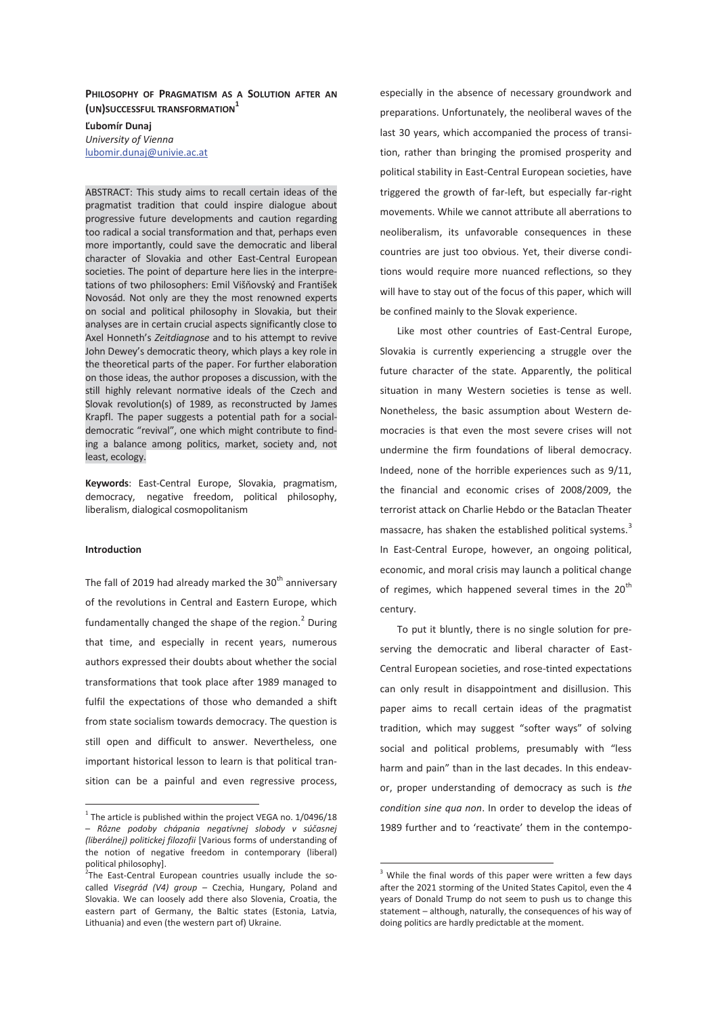## **PHILOSOPHY OF PRAGMATISM AS A SOLUTION AFTER AN (UN)SUCCESSFUL TRANSFORMATION1**

**Ľubomír Dunaj**  *University of Vienna*  lubomir.dunaj@univie.ac.at

ABSTRACT: This study aims to recall certain ideas of the pragmatist tradition that could inspire dialogue about progressive future developments and caution regarding too radical a social transformation and that, perhaps even more importantly, could save the democratic and liberal character of Slovakia and other East-Central European societies. The point of departure here lies in the interpretations of two philosophers: Emil Višňovský and František Novosád. Not only are they the most renowned experts on social and political philosophy in Slovakia, but their analyses are in certain crucial aspects significantly close to Axel Honneth's *Zeitdiagnose* and to his attempt to revive John Dewey's democratic theory, which plays a key role in the theoretical parts of the paper. For further elaboration on those ideas, the author proposes a discussion, with the still highly relevant normative ideals of the Czech and Slovak revolution(s) of 1989, as reconstructed by James Krapfl. The paper suggests a potential path for a socialdemocratic "revival", one which might contribute to finding a balance among politics, market, society and, not least, ecology.

**Keywords**: East-Central Europe, Slovakia, pragmatism, democracy, negative freedom, political philosophy, liberalism, dialogical cosmopolitanism

# **Introduction**

 $\overline{a}$ 

The fall of 2019 had already marked the  $30<sup>th</sup>$  anniversary of the revolutions in Central and Eastern Europe, which fundamentally changed the shape of the region.<sup>2</sup> During that time, and especially in recent years, numerous authors expressed their doubts about whether the social transformations that took place after 1989 managed to fulfil the expectations of those who demanded a shift from state socialism towards democracy. The question is still open and difficult to answer. Nevertheless, one important historical lesson to learn is that political transition can be a painful and even regressive process, especially in the absence of necessary groundwork and preparations. Unfortunately, the neoliberal waves of the last 30 years, which accompanied the process of transition, rather than bringing the promised prosperity and political stability in East-Central European societies, have triggered the growth of far-left, but especially far-right movements. While we cannot attribute all aberrations to neoliberalism, its unfavorable consequences in these countries are just too obvious. Yet, their diverse conditions would require more nuanced reflections, so they will have to stay out of the focus of this paper, which will be confined mainly to the Slovak experience.

Like most other countries of East-Central Europe, Slovakia is currently experiencing a struggle over the future character of the state. Apparently, the political situation in many Western societies is tense as well. Nonetheless, the basic assumption about Western democracies is that even the most severe crises will not undermine the firm foundations of liberal democracy. Indeed, none of the horrible experiences such as 9/11, the financial and economic crises of 2008/2009, the terrorist attack on Charlie Hebdo or the Bataclan Theater massacre, has shaken the established political systems.<sup>3</sup> In East-Central Europe, however, an ongoing political, economic, and moral crisis may launch a political change of regimes, which happened several times in the  $20<sup>th</sup>$ century.

To put it bluntly, there is no single solution for preserving the democratic and liberal character of East-Central European societies, and rose-tinted expectations can only result in disappointment and disillusion. This paper aims to recall certain ideas of the pragmatist tradition, which may suggest "softer ways" of solving social and political problems, presumably with "less harm and pain" than in the last decades. In this endeavor, proper understanding of democracy as such is *the condition sine qua non*. In order to develop the ideas of 1989 further and to 'reactivate' them in the contempo-

 $1$  The article is published within the project VEGA no. 1/0496/18 – *Rôzne podoby chápania negatívnej slobody v súčasnej (liberálnej) politickej filozofii* [Various forms of understanding of the notion of negative freedom in contemporary (liberal) political philosophy].

<sup>&</sup>lt;sup>2</sup>The East-Central European countries usually include the socalled *Visegrád (V4) group* – Czechia, Hungary, Poland and Slovakia. We can loosely add there also Slovenia, Croatia, the eastern part of Germany, the Baltic states (Estonia, Latvia, Lithuania) and even (the western part of) Ukraine.

 $3$  While the final words of this paper were written a few days after the 2021 storming of the United States Capitol, even the 4 years of Donald Trump do not seem to push us to change this statement – although, naturally, the consequences of his way of doing politics are hardly predictable at the moment.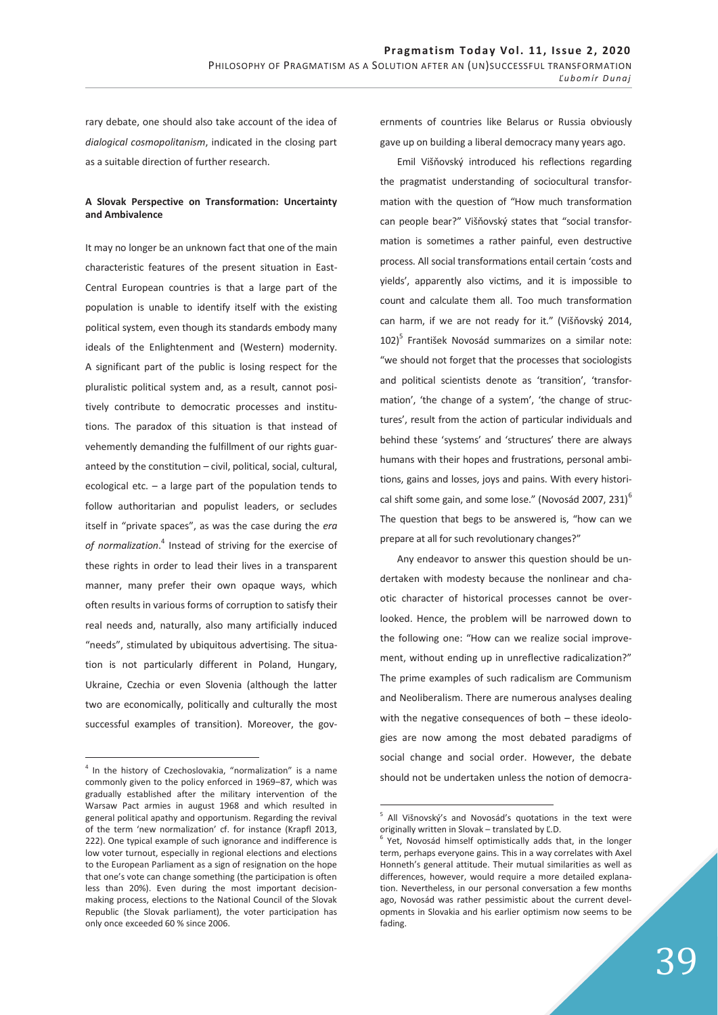rary debate, one should also take account of the idea of *dialogical cosmopolitanism*, indicated in the closing part as a suitable direction of further research.

## **A Slovak Perspective on Transformation: Uncertainty and Ambivalence**

It may no longer be an unknown fact that one of the main characteristic features of the present situation in East-Central European countries is that a large part of the population is unable to identify itself with the existing political system, even though its standards embody many ideals of the Enlightenment and (Western) modernity. A significant part of the public is losing respect for the pluralistic political system and, as a result, cannot positively contribute to democratic processes and institutions. The paradox of this situation is that instead of vehemently demanding the fulfillment of our rights guaranteed by the constitution – civil, political, social, cultural, ecological etc.  $-$  a large part of the population tends to follow authoritarian and populist leaders, or secludes itself in "private spaces", as was the case during the *era of normalization*. 4 Instead of striving for the exercise of these rights in order to lead their lives in a transparent manner, many prefer their own opaque ways, which often results in various forms of corruption to satisfy their real needs and, naturally, also many artificially induced "needs", stimulated by ubiquitous advertising. The situation is not particularly different in Poland, Hungary, Ukraine, Czechia or even Slovenia (although the latter two are economically, politically and culturally the most successful examples of transition). Moreover, the gov-

 $\overline{a}$ 

ernments of countries like Belarus or Russia obviously gave up on building a liberal democracy many years ago.

Emil Višňovský introduced his reflections regarding the pragmatist understanding of sociocultural transformation with the question of "How much transformation can people bear?" Višňovský states that "social transformation is sometimes a rather painful, even destructive process. All social transformations entail certain 'costs and yields', apparently also victims, and it is impossible to count and calculate them all. Too much transformation can harm, if we are not ready for it." (Višňovský 2014, 102)<sup>5</sup> František Novosád summarizes on a similar note: "we should not forget that the processes that sociologists and political scientists denote as 'transition', 'transformation', 'the change of a system', 'the change of structures', result from the action of particular individuals and behind these 'systems' and 'structures' there are always humans with their hopes and frustrations, personal ambitions, gains and losses, joys and pains. With every historical shift some gain, and some lose." (Novosád 2007, 231) $^6$ The question that begs to be answered is, "how can we prepare at all for such revolutionary changes?"

Any endeavor to answer this question should be undertaken with modesty because the nonlinear and chaotic character of historical processes cannot be overlooked. Hence, the problem will be narrowed down to the following one: "How can we realize social improvement, without ending up in unreflective radicalization?" The prime examples of such radicalism are Communism and Neoliberalism. There are numerous analyses dealing with the negative consequences of both – these ideologies are now among the most debated paradigms of social change and social order. However, the debate should not be undertaken unless the notion of democra-

<sup>&</sup>lt;sup>4</sup> In the history of Czechoslovakia, "normalization" is a name commonly given to the policy enforced in 1969–87, which was gradually established after the military intervention of the Warsaw Pact armies in august 1968 and which resulted in general political apathy and opportunism. Regarding the revival of the term 'new normalization' cf. for instance (Krapfl 2013, 222). One typical example of such ignorance and indifference is low voter turnout, especially in regional elections and elections to the European Parliament as a sign of resignation on the hope that one's vote can change something (the participation is often less than 20%). Even during the most important decisionmaking process, elections to the National Council of the Slovak Republic (the Slovak parliament), the voter participation has only once exceeded 60 % since 2006.

<sup>&</sup>lt;sup>5</sup> All Višnovský's and Novosád's quotations in the text were originally written in Slovak – translated by Ľ.D.

<sup>&</sup>lt;sup>6</sup> Yet, Novosád himself optimistically adds that, in the longer term, perhaps everyone gains. This in a way correlates with Axel Honneth's general attitude. Their mutual similarities as well as differences, however, would require a more detailed explanation. Nevertheless, in our personal conversation a few months ago, Novosád was rather pessimistic about the current developments in Slovakia and his earlier optimism now seems to be fading.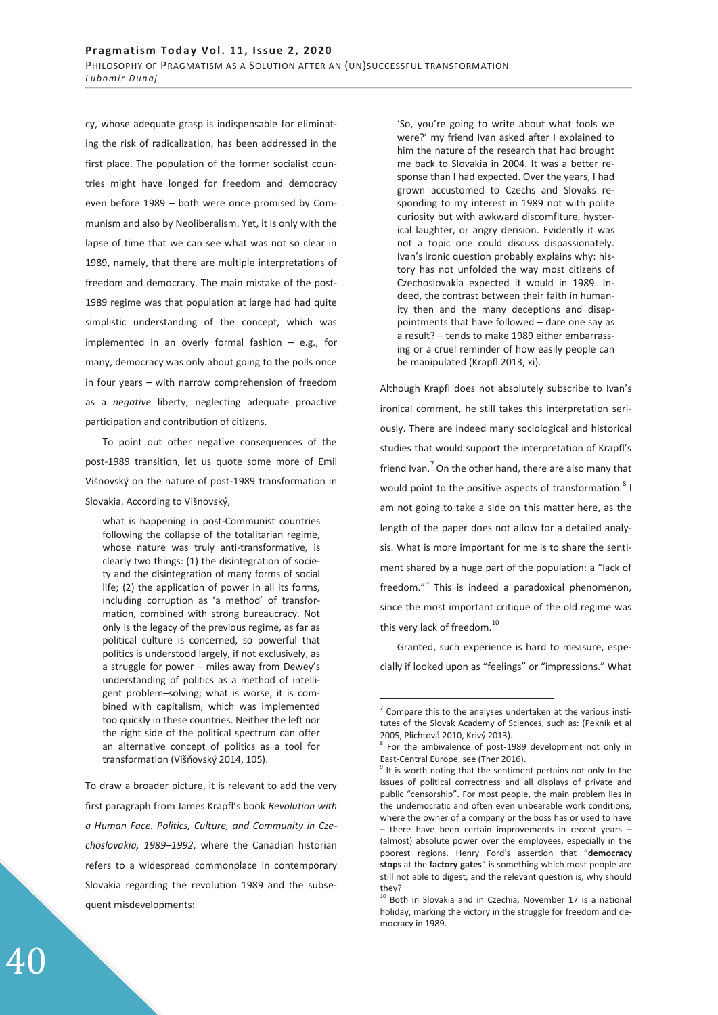cy, whose adequate grasp is indispensable for eliminating the risk of radicalization, has been addressed in the first place. The population of the former socialist countries might have longed for freedom and democracy even before 1989 – both were once promised by Communism and also by Neoliberalism. Yet, it is only with the lapse of time that we can see what was not so clear in 1989, namely, that there are multiple interpretations of freedom and democracy. The main mistake of the post-1989 regime was that population at large had had quite simplistic understanding of the concept, which was implemented in an overly formal fashion – e.g., for many, democracy was only about going to the polls once in four years – with narrow comprehension of freedom as a *negative* liberty, neglecting adequate proactive participation and contribution of citizens.

To point out other negative consequences of the post-1989 transition, let us quote some more of Emil Višnovský on the nature of post-1989 transformation in Slovakia. According to Višnovský,

what is happening in post-Communist countries following the collapse of the totalitarian regime, whose nature was truly anti-transformative, is clearly two things: (1) the disintegration of society and the disintegration of many forms of social life; (2) the application of power in all its forms, including corruption as 'a method' of transformation, combined with strong bureaucracy. Not only is the legacy of the previous regime, as far as political culture is concerned, so powerful that politics is understood largely, if not exclusively, as a struggle for power – miles away from Dewey's understanding of politics as a method of intelligent problem–solving; what is worse, it is combined with capitalism, which was implemented too quickly in these countries. Neither the left nor the right side of the political spectrum can offer an alternative concept of politics as a tool for transformation (Višňovský 2014, 105).

To draw a broader picture, it is relevant to add the very first paragraph from James Krapfl's book *Revolution with a Human Face. Politics, Culture, and Community in Czechoslovakia, 1989*–*1992*, where the Canadian historian refers to a widespread commonplace in contemporary Slovakia regarding the revolution 1989 and the subsequent misdevelopments:

'So, you're going to write about what fools we were?' my friend Ivan asked after I explained to him the nature of the research that had brought me back to Slovakia in 2004. It was a better response than I had expected. Over the years, I had grown accustomed to Czechs and Slovaks responding to my interest in 1989 not with polite curiosity but with awkward discomfiture, hysterical laughter, or angry derision. Evidently it was not a topic one could discuss dispassionately. Ivan's ironic question probably explains why: history has not unfolded the way most citizens of Czechoslovakia expected it would in 1989. Indeed, the contrast between their faith in humanity then and the many deceptions and disappointments that have followed – dare one say as a result? – tends to make 1989 either embarrassing or a cruel reminder of how easily people can be manipulated (Krapfl 2013, xi).

Although Krapfl does not absolutely subscribe to Ivan's ironical comment, he still takes this interpretation seriously. There are indeed many sociological and historical studies that would support the interpretation of Krapfl's friend Ivan.<sup>7</sup> On the other hand, there are also many that would point to the positive aspects of transformation.<sup>8</sup> I am not going to take a side on this matter here, as the length of the paper does not allow for a detailed analysis. What is more important for me is to share the sentiment shared by a huge part of the population: a "lack of freedom."<sup>9</sup> This is indeed a paradoxical phenomenon, since the most important critique of the old regime was this very lack of freedom. $^{10}$ 

Granted, such experience is hard to measure, especially if looked upon as "feelings" or "impressions." What

 $7$  Compare this to the analyses undertaken at the various institutes of the Slovak Academy of Sciences, such as: (Pekník et al 2005, Plichtová 2010, Krivý 2013).

<sup>&</sup>lt;sup>8</sup> For the ambivalence of post-1989 development not only in East-Central Europe, see (Ther 2016).

<sup>9</sup> It is worth noting that the sentiment pertains not only to the issues of political correctness and all displays of private and public "censorship". For most people, the main problem lies in the undemocratic and often even unbearable work conditions, where the owner of a company or the boss has or used to have – there have been certain improvements in recent years – (almost) absolute power over the employees, especially in the poorest regions. Henry Ford's assertion that "**democracy stops** at the **factory gates**" is something which most people are still not able to digest, and the relevant question is, why should they?

<sup>&</sup>lt;sup>10</sup> Both in Slovakia and in Czechia, November 17 is a national holiday, marking the victory in the struggle for freedom and democracy in 1989.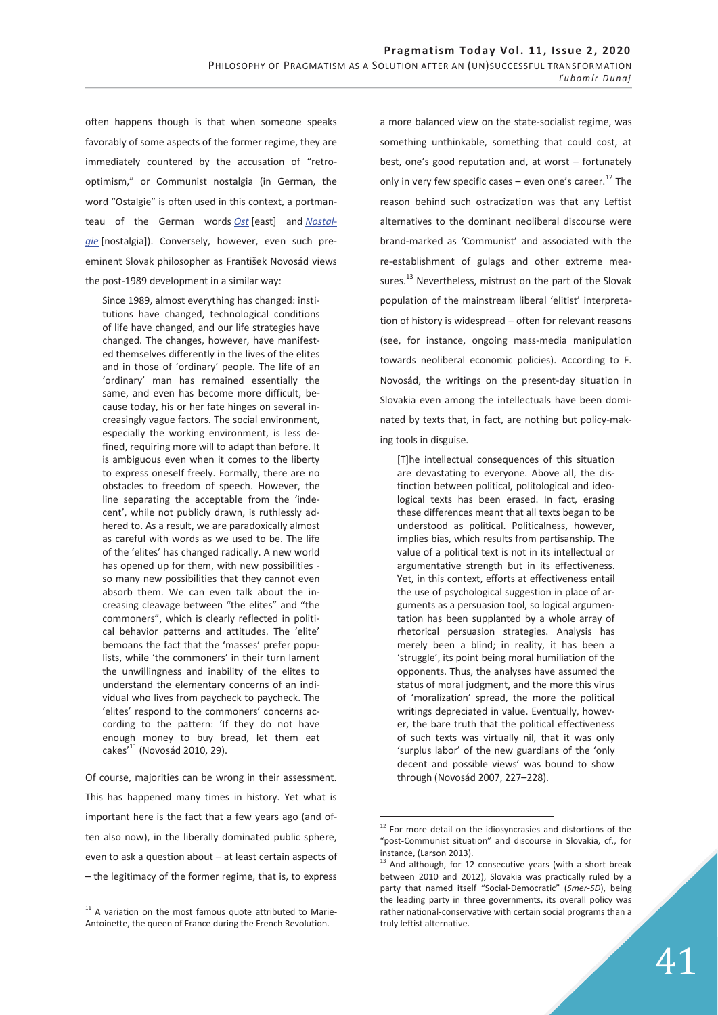often happens though is that when someone speaks favorably of some aspects of the former regime, they are immediately countered by the accusation of "retrooptimism," or Communist nostalgia (in German, the word "Ostalgie" is often used in this context, a portmanteau of the German words *Ost* [east] and *Nostalgie* [nostalgia]). Conversely, however, even such preeminent Slovak philosopher as František Novosád views the post-1989 development in a similar way:

Since 1989, almost everything has changed: institutions have changed, technological conditions of life have changed, and our life strategies have changed. The changes, however, have manifested themselves differently in the lives of the elites and in those of 'ordinary' people. The life of an 'ordinary' man has remained essentially the same, and even has become more difficult, because today, his or her fate hinges on several increasingly vague factors. The social environment, especially the working environment, is less defined, requiring more will to adapt than before. It is ambiguous even when it comes to the liberty to express oneself freely. Formally, there are no obstacles to freedom of speech. However, the line separating the acceptable from the 'indecent', while not publicly drawn, is ruthlessly adhered to. As a result, we are paradoxically almost as careful with words as we used to be. The life of the 'elites' has changed radically. A new world has opened up for them, with new possibilities so many new possibilities that they cannot even absorb them. We can even talk about the increasing cleavage between "the elites" and "the commoners", which is clearly reflected in political behavior patterns and attitudes. The 'elite' bemoans the fact that the 'masses' prefer populists, while 'the commoners' in their turn lament the unwillingness and inability of the elites to understand the elementary concerns of an individual who lives from paycheck to paycheck. The 'elites' respond to the commoners' concerns according to the pattern: 'If they do not have enough money to buy bread, let them eat  $cakes'$ <sup>11</sup> (Novosád 2010, 29).

Of course, majorities can be wrong in their assessment. This has happened many times in history. Yet what is important here is the fact that a few years ago (and often also now), in the liberally dominated public sphere, even to ask a question about – at least certain aspects of – the legitimacy of the former regime, that is, to express

 $\overline{a}$ 

a more balanced view on the state-socialist regime, was something unthinkable, something that could cost, at best, one's good reputation and, at worst – fortunately only in very few specific cases – even one's career.<sup>12</sup> The reason behind such ostracization was that any Leftist alternatives to the dominant neoliberal discourse were brand-marked as 'Communist' and associated with the re-establishment of gulags and other extreme measures. $^{13}$  Nevertheless, mistrust on the part of the Slovak population of the mainstream liberal 'elitist' interpretation of history is widespread – often for relevant reasons (see, for instance, ongoing mass-media manipulation towards neoliberal economic policies). According to F. Novosád, the writings on the present-day situation in Slovakia even among the intellectuals have been dominated by texts that, in fact, are nothing but policy-making tools in disguise.

[T]he intellectual consequences of this situation are devastating to everyone. Above all, the distinction between political, politological and ideological texts has been erased. In fact, erasing these differences meant that all texts began to be understood as political. Politicalness, however, implies bias, which results from partisanship. The value of a political text is not in its intellectual or argumentative strength but in its effectiveness. Yet, in this context, efforts at effectiveness entail the use of psychological suggestion in place of arguments as a persuasion tool, so logical argumentation has been supplanted by a whole array of rhetorical persuasion strategies. Analysis has merely been a blind; in reality, it has been a 'struggle', its point being moral humiliation of the opponents. Thus, the analyses have assumed the status of moral judgment, and the more this virus of 'moralization' spread, the more the political writings depreciated in value. Eventually, however, the bare truth that the political effectiveness of such texts was virtually nil, that it was only 'surplus labor' of the new guardians of the 'only decent and possible views' was bound to show through (Novosád 2007, 227–228).

 $11$  A variation on the most famous quote attributed to Marie-Antoinette, the queen of France during the French Revolution.

<sup>&</sup>lt;sup>12</sup> For more detail on the idiosyncrasies and distortions of the "post-Communist situation" and discourse in Slovakia, cf., for instance, (Larson 2013).

 $13$  And although, for 12 consecutive years (with a short break between 2010 and 2012), Slovakia was practically ruled by a party that named itself "Social-Democratic" (*Smer-SD*), being the leading party in three governments, its overall policy was rather national-conservative with certain social programs than a truly leftist alternative.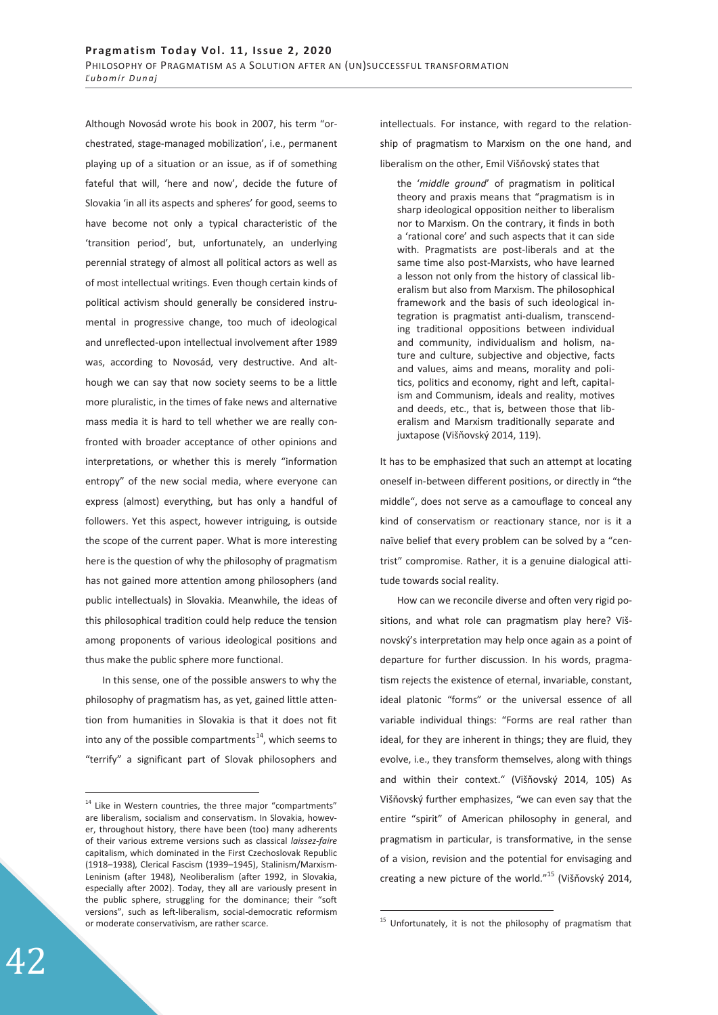Although Novosád wrote his book in 2007, his term "orchestrated, stage-managed mobilization', i.e., permanent playing up of a situation or an issue, as if of something fateful that will, 'here and now', decide the future of Slovakia 'in all its aspects and spheres' for good, seems to have become not only a typical characteristic of the 'transition period', but, unfortunately, an underlying perennial strategy of almost all political actors as well as of most intellectual writings. Even though certain kinds of political activism should generally be considered instrumental in progressive change, too much of ideological and unreflected-upon intellectual involvement after 1989 was, according to Novosád, very destructive. And although we can say that now society seems to be a little more pluralistic, in the times of fake news and alternative mass media it is hard to tell whether we are really confronted with broader acceptance of other opinions and interpretations, or whether this is merely "information entropy" of the new social media, where everyone can express (almost) everything, but has only a handful of followers. Yet this aspect, however intriguing, is outside the scope of the current paper. What is more interesting here is the question of why the philosophy of pragmatism has not gained more attention among philosophers (and public intellectuals) in Slovakia. Meanwhile, the ideas of this philosophical tradition could help reduce the tension among proponents of various ideological positions and thus make the public sphere more functional.

In this sense, one of the possible answers to why the philosophy of pragmatism has, as yet, gained little attention from humanities in Slovakia is that it does not fit into any of the possible compartments<sup>14</sup>, which seems to "terrify" a significant part of Slovak philosophers and intellectuals. For instance, with regard to the relationship of pragmatism to Marxism on the one hand, and liberalism on the other, Emil Višňovský states that

the '*middle ground*' of pragmatism in political theory and praxis means that "pragmatism is in sharp ideological opposition neither to liberalism nor to Marxism. On the contrary, it finds in both a 'rational core' and such aspects that it can side with. Pragmatists are post-liberals and at the same time also post-Marxists, who have learned a lesson not only from the history of classical liberalism but also from Marxism. The philosophical framework and the basis of such ideological integration is pragmatist anti-dualism, transcending traditional oppositions between individual and community, individualism and holism, nature and culture, subjective and objective, facts and values, aims and means, morality and politics, politics and economy, right and left, capitalism and Communism, ideals and reality, motives and deeds, etc., that is, between those that liberalism and Marxism traditionally separate and juxtapose (Višňovský 2014, 119).

It has to be emphasized that such an attempt at locating oneself in-between different positions, or directly in "the middle", does not serve as a camouflage to conceal any kind of conservatism or reactionary stance, nor is it a naïve belief that every problem can be solved by a "centrist" compromise. Rather, it is a genuine dialogical attitude towards social reality.

How can we reconcile diverse and often very rigid positions, and what role can pragmatism play here? Višnovský's interpretation may help once again as a point of departure for further discussion. In his words, pragmatism rejects the existence of eternal, invariable, constant, ideal platonic "forms" or the universal essence of all variable individual things: "Forms are real rather than ideal, for they are inherent in things; they are fluid, they evolve, i.e., they transform themselves, along with things and within their context." (Višňovský 2014, 105) As Višňovský further emphasizes, "we can even say that the entire "spirit" of American philosophy in general, and pragmatism in particular, is transformative, in the sense of a vision, revision and the potential for envisaging and creating a new picture of the world."<sup>15</sup> (Višňovský 2014,

-

<sup>&</sup>lt;sup>14</sup> Like in Western countries, the three major "compartments" are liberalism, socialism and conservatism. In Slovakia, however, throughout history, there have been (too) many adherents of their various extreme versions such as classical *laissez-faire*  capitalism, which dominated in the First Czechoslovak Republic (1918–1938)*,* Clerical Fascism (1939–1945), Stalinism/Marxism-Leninism (after 1948), Neoliberalism (after 1992, in Slovakia, especially after 2002). Today, they all are variously present in the public sphere, struggling for the dominance; their "soft versions", such as left-liberalism, social-democratic reformism or moderate conservativism, are rather scarce.

 $15$  Unfortunately, it is not the philosophy of pragmatism that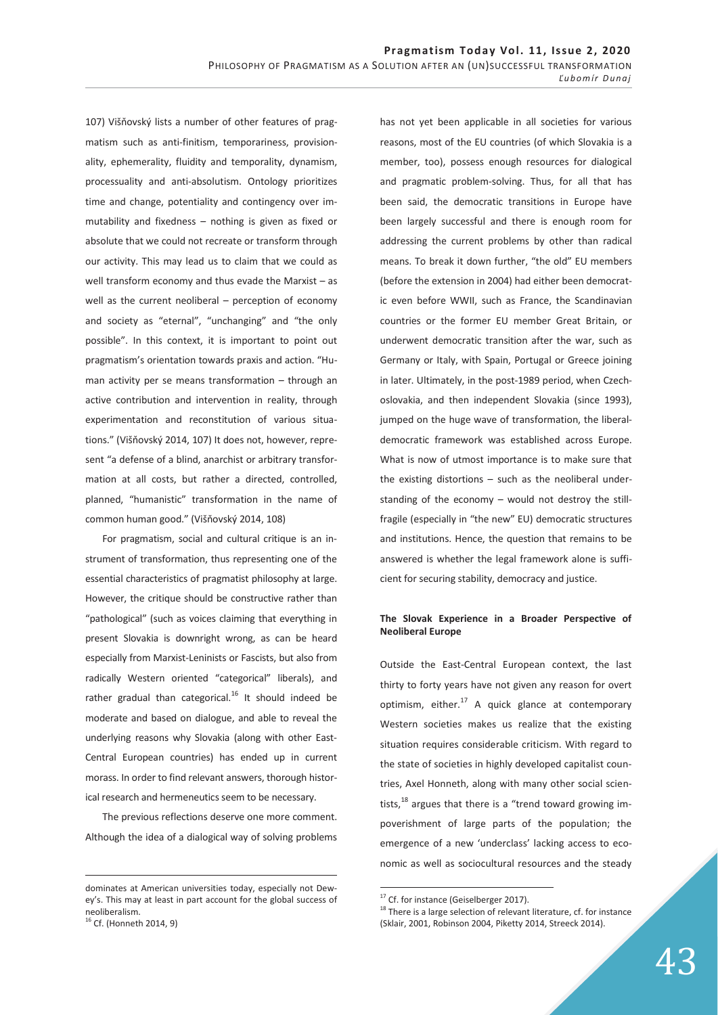107) Višňovský lists a number of other features of pragmatism such as anti-finitism, temporariness, provisionality, ephemerality, fluidity and temporality, dynamism, processuality and anti-absolutism. Ontology prioritizes time and change, potentiality and contingency over immutability and fixedness – nothing is given as fixed or absolute that we could not recreate or transform through our activity. This may lead us to claim that we could as well transform economy and thus evade the Marxist – as well as the current neoliberal – perception of economy and society as "eternal", "unchanging" and "the only possible". In this context, it is important to point out pragmatism's orientation towards praxis and action. "Human activity per se means transformation – through an active contribution and intervention in reality, through experimentation and reconstitution of various situations." (Višňovský 2014, 107) It does not, however, represent "a defense of a blind, anarchist or arbitrary transformation at all costs, but rather a directed, controlled, planned, "humanistic" transformation in the name of common human good." (Višňovský 2014, 108)

For pragmatism, social and cultural critique is an instrument of transformation, thus representing one of the essential characteristics of pragmatist philosophy at large. However, the critique should be constructive rather than "pathological" (such as voices claiming that everything in present Slovakia is downright wrong, as can be heard especially from Marxist-Leninists or Fascists, but also from radically Western oriented "categorical" liberals), and rather gradual than categorical. $16$  It should indeed be moderate and based on dialogue, and able to reveal the underlying reasons why Slovakia (along with other East-Central European countries) has ended up in current morass. In order to find relevant answers, thorough historical research and hermeneutics seem to be necessary.

The previous reflections deserve one more comment. Although the idea of a dialogical way of solving problems

-

has not yet been applicable in all societies for various reasons, most of the EU countries (of which Slovakia is a member, too), possess enough resources for dialogical and pragmatic problem-solving. Thus, for all that has been said, the democratic transitions in Europe have been largely successful and there is enough room for addressing the current problems by other than radical means. To break it down further, "the old" EU members (before the extension in 2004) had either been democratic even before WWII, such as France, the Scandinavian countries or the former EU member Great Britain, or underwent democratic transition after the war, such as Germany or Italy, with Spain, Portugal or Greece joining in later. Ultimately, in the post-1989 period, when Czechoslovakia, and then independent Slovakia (since 1993), jumped on the huge wave of transformation, the liberaldemocratic framework was established across Europe. What is now of utmost importance is to make sure that the existing distortions – such as the neoliberal understanding of the economy – would not destroy the stillfragile (especially in "the new" EU) democratic structures and institutions. Hence, the question that remains to be answered is whether the legal framework alone is sufficient for securing stability, democracy and justice.

## **The Slovak Experience in a Broader Perspective of Neoliberal Europe**

Outside the East-Central European context, the last thirty to forty years have not given any reason for overt optimism, either. $17$  A quick glance at contemporary Western societies makes us realize that the existing situation requires considerable criticism. With regard to the state of societies in highly developed capitalist countries, Axel Honneth, along with many other social scientists, $^{18}$  argues that there is a "trend toward growing impoverishment of large parts of the population; the emergence of a new 'underclass' lacking access to economic as well as sociocultural resources and the steady

dominates at American universities today, especially not Dewey's. This may at least in part account for the global success of neoliberalism.<br><sup>16</sup> Cf. (Honneth 2014, 9)

<sup>&</sup>lt;sup>17</sup> Cf. for instance (Geiselberger 2017).

 $18$  There is a large selection of relevant literature, cf. for instance (Sklair, 2001, Robinson 2004, Piketty 2014, Streeck 2014).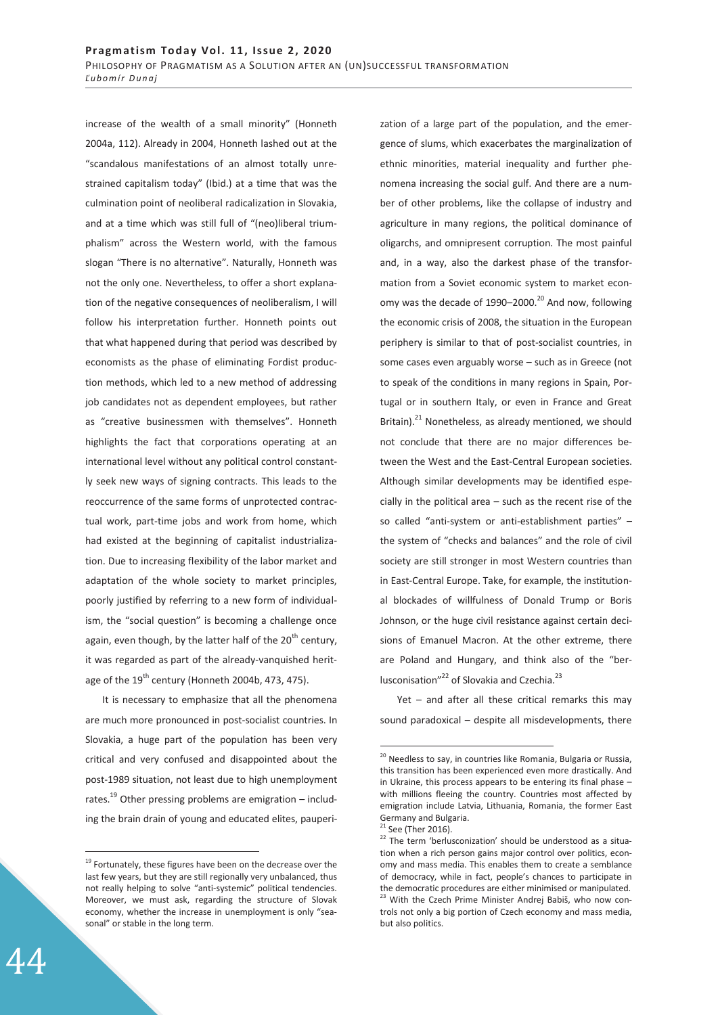increase of the wealth of a small minority" (Honneth 2004a, 112). Already in 2004, Honneth lashed out at the "scandalous manifestations of an almost totally unrestrained capitalism today" (Ibid.) at a time that was the culmination point of neoliberal radicalization in Slovakia, and at a time which was still full of "(neo)liberal triumphalism" across the Western world, with the famous slogan "There is no alternative". Naturally, Honneth was not the only one. Nevertheless, to offer a short explanation of the negative consequences of neoliberalism, I will follow his interpretation further. Honneth points out that what happened during that period was described by economists as the phase of eliminating Fordist production methods, which led to a new method of addressing job candidates not as dependent employees, but rather as "creative businessmen with themselves". Honneth highlights the fact that corporations operating at an international level without any political control constantly seek new ways of signing contracts. This leads to the reoccurrence of the same forms of unprotected contractual work, part-time jobs and work from home, which had existed at the beginning of capitalist industrialization. Due to increasing flexibility of the labor market and adaptation of the whole society to market principles, poorly justified by referring to a new form of individualism, the "social question" is becoming a challenge once again, even though, by the latter half of the  $20<sup>th</sup>$  century, it was regarded as part of the already-vanquished heritage of the  $19^{th}$  century (Honneth 2004b, 473, 475).

It is necessary to emphasize that all the phenomena are much more pronounced in post-socialist countries. In Slovakia, a huge part of the population has been very critical and very confused and disappointed about the post-1989 situation, not least due to high unemployment rates.<sup>19</sup> Other pressing problems are emigration – including the brain drain of young and educated elites, pauperi-

zation of a large part of the population, and the emergence of slums, which exacerbates the marginalization of ethnic minorities, material inequality and further phenomena increasing the social gulf. And there are a number of other problems, like the collapse of industry and agriculture in many regions, the political dominance of oligarchs, and omnipresent corruption. The most painful and, in a way, also the darkest phase of the transformation from a Soviet economic system to market economy was the decade of 1990–2000.<sup>20</sup> And now, following the economic crisis of 2008, the situation in the European periphery is similar to that of post-socialist countries, in some cases even arguably worse – such as in Greece (not to speak of the conditions in many regions in Spain, Portugal or in southern Italy, or even in France and Great Britain). $^{21}$  Nonetheless, as already mentioned, we should not conclude that there are no major differences between the West and the East-Central European societies. Although similar developments may be identified especially in the political area – such as the recent rise of the so called "anti-system or anti-establishment parties" – the system of "checks and balances" and the role of civil society are still stronger in most Western countries than in East-Central Europe. Take, for example, the institutional blockades of willfulness of Donald Trump or Boris Johnson, or the huge civil resistance against certain decisions of Emanuel Macron. At the other extreme, there are Poland and Hungary, and think also of the "berlusconisation"<sup>22</sup> of Slovakia and Czechia.<sup>23</sup>

Yet – and after all these critical remarks this may sound paradoxical – despite all misdevelopments, there

-

 $19$  Fortunately, these figures have been on the decrease over the last few years, but they are still regionally very unbalanced, thus not really helping to solve "anti-systemic" political tendencies. Moreover, we must ask, regarding the structure of Slovak economy, whether the increase in unemployment is only "seasonal" or stable in the long term.

 $20$  Needless to say, in countries like Romania, Bulgaria or Russia, this transition has been experienced even more drastically. And in Ukraine, this process appears to be entering its final phase – with millions fleeing the country. Countries most affected by emigration include Latvia, Lithuania, Romania, the former East Germany and Bulgaria.

 $21$  See (Ther 2016).

 $22$  The term 'berlusconization' should be understood as a situation when a rich person gains major control over politics, economy and mass media. This enables them to create a semblance of democracy, while in fact, people's chances to participate in the democratic procedures are either minimised or manipulated. <sup>23</sup> With the Czech Prime Minister Andrej Babiš, who now controls not only a big portion of Czech economy and mass media, but also politics.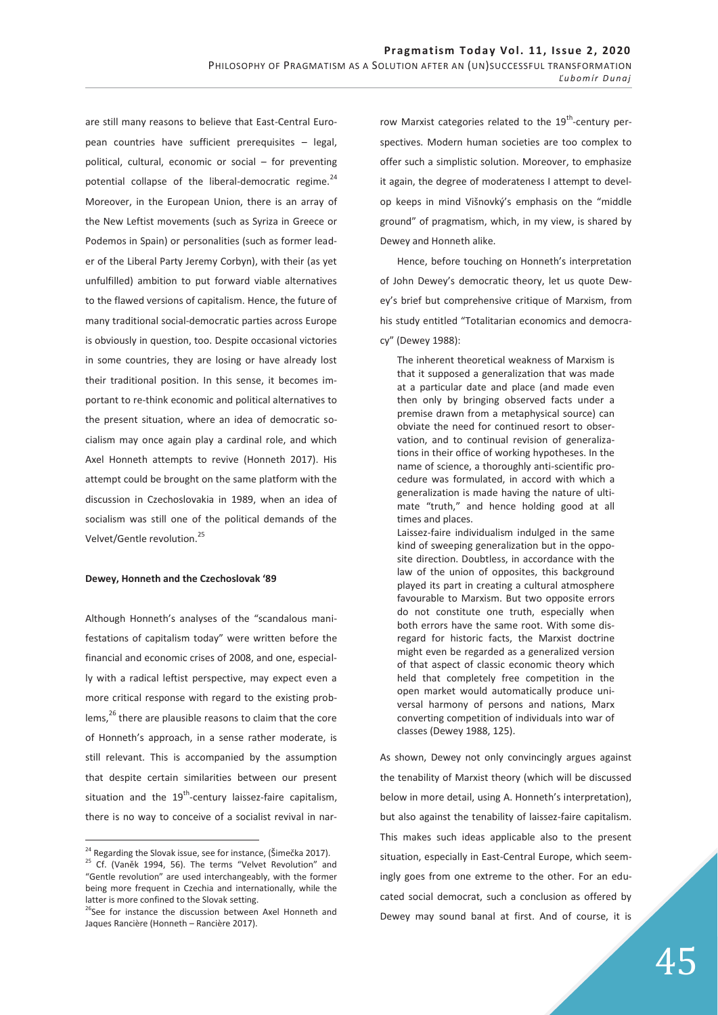are still many reasons to believe that East-Central European countries have sufficient prerequisites – legal, political, cultural, economic or social – for preventing potential collapse of the liberal-democratic regime.<sup>24</sup> Moreover, in the European Union, there is an array of the New Leftist movements (such as Syriza in Greece or Podemos in Spain) or personalities (such as former leader of the Liberal Party Jeremy Corbyn), with their (as yet unfulfilled) ambition to put forward viable alternatives to the flawed versions of capitalism. Hence, the future of many traditional social-democratic parties across Europe is obviously in question, too. Despite occasional victories in some countries, they are losing or have already lost their traditional position. In this sense, it becomes important to re-think economic and political alternatives to the present situation, where an idea of democratic socialism may once again play a cardinal role, and which Axel Honneth attempts to revive (Honneth 2017). His attempt could be brought on the same platform with the discussion in Czechoslovakia in 1989, when an idea of socialism was still one of the political demands of the Velvet/Gentle revolution.<sup>25</sup>

#### **Dewey, Honneth and the Czechoslovak '89**

Although Honneth's analyses of the "scandalous manifestations of capitalism today" were written before the financial and economic crises of 2008, and one, especially with a radical leftist perspective, may expect even a more critical response with regard to the existing problems,<sup>26</sup> there are plausible reasons to claim that the core of Honneth's approach, in a sense rather moderate, is still relevant. This is accompanied by the assumption that despite certain similarities between our present situation and the  $19^{th}$ -century laissez-faire capitalism, there is no way to conceive of a socialist revival in nar-

 $\overline{a}$ 

row Marxist categories related to the  $19<sup>th</sup>$ -century perspectives. Modern human societies are too complex to offer such a simplistic solution. Moreover, to emphasize it again, the degree of moderateness I attempt to develop keeps in mind Višnovký's emphasis on the "middle ground" of pragmatism, which, in my view, is shared by Dewey and Honneth alike.

Hence, before touching on Honneth's interpretation of John Dewey's democratic theory, let us quote Dewey's brief but comprehensive critique of Marxism, from his study entitled "Totalitarian economics and democracy" (Dewey 1988):

The inherent theoretical weakness of Marxism is that it supposed a generalization that was made at a particular date and place (and made even then only by bringing observed facts under a premise drawn from a metaphysical source) can obviate the need for continued resort to observation, and to continual revision of generalizations in their office of working hypotheses. In the name of science, a thoroughly anti-scientific procedure was formulated, in accord with which a generalization is made having the nature of ultimate "truth," and hence holding good at all times and places.

Laissez-faire individualism indulged in the same kind of sweeping generalization but in the opposite direction. Doubtless, in accordance with the law of the union of opposites, this background played its part in creating a cultural atmosphere favourable to Marxism. But two opposite errors do not constitute one truth, especially when both errors have the same root. With some disregard for historic facts, the Marxist doctrine might even be regarded as a generalized version of that aspect of classic economic theory which held that completely free competition in the open market would automatically produce universal harmony of persons and nations, Marx converting competition of individuals into war of classes (Dewey 1988, 125).

As shown, Dewey not only convincingly argues against the tenability of Marxist theory (which will be discussed below in more detail, using A. Honneth's interpretation), but also against the tenability of laissez-faire capitalism. This makes such ideas applicable also to the present situation, especially in East-Central Europe, which seemingly goes from one extreme to the other. For an educated social democrat, such a conclusion as offered by Dewey may sound banal at first. And of course, it is

<sup>&</sup>lt;sup>24</sup> Regarding the Slovak issue, see for instance, (Šimečka 2017). <sup>25</sup> Cf. (Vaněk 1994, 56). The terms "Velvet Revolution" and "Gentle revolution" are used interchangeably, with the former being more frequent in Czechia and internationally, while the latter is more confined to the Slovak setting.

<sup>&</sup>lt;sup>26</sup>See for instance the discussion between Axel Honneth and Jaques Rancière (Honneth – Rancière 2017).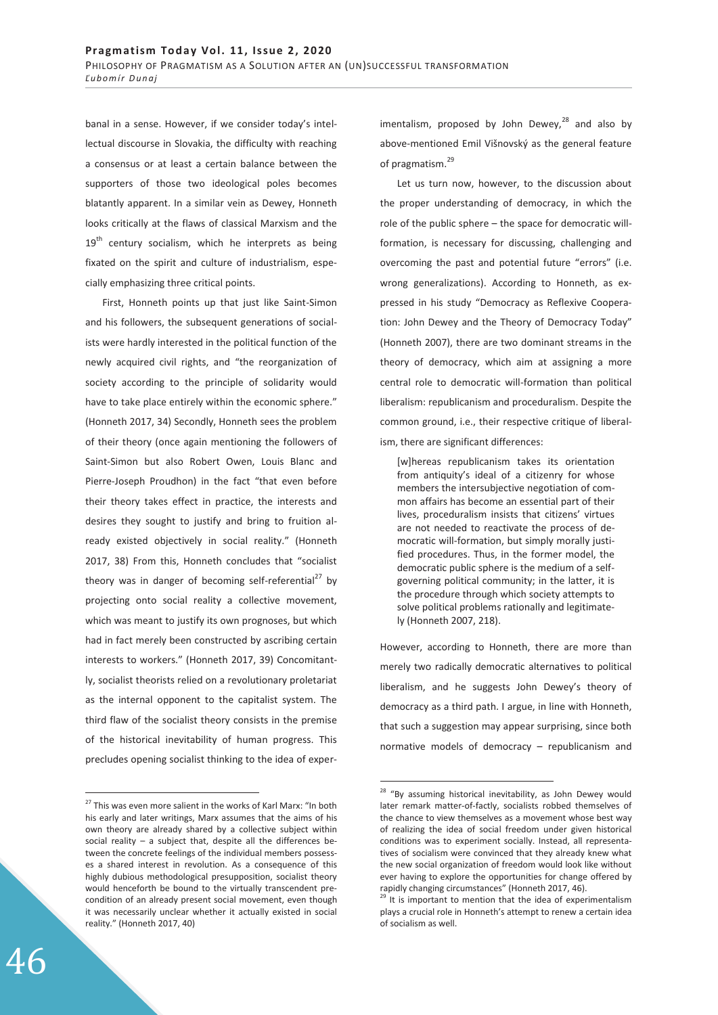banal in a sense. However, if we consider today's intellectual discourse in Slovakia, the difficulty with reaching a consensus or at least a certain balance between the supporters of those two ideological poles becomes blatantly apparent. In a similar vein as Dewey, Honneth looks critically at the flaws of classical Marxism and the  $19<sup>th</sup>$  century socialism, which he interprets as being fixated on the spirit and culture of industrialism, especially emphasizing three critical points.

First, Honneth points up that just like Saint-Simon and his followers, the subsequent generations of socialists were hardly interested in the political function of the newly acquired civil rights, and "the reorganization of society according to the principle of solidarity would have to take place entirely within the economic sphere." (Honneth 2017, 34) Secondly, Honneth sees the problem of their theory (once again mentioning the followers of Saint-Simon but also Robert Owen, Louis Blanc and Pierre-Joseph Proudhon) in the fact "that even before their theory takes effect in practice, the interests and desires they sought to justify and bring to fruition already existed objectively in social reality." (Honneth 2017, 38) From this, Honneth concludes that "socialist theory was in danger of becoming self-referential<sup>27</sup> by projecting onto social reality a collective movement, which was meant to justify its own prognoses, but which had in fact merely been constructed by ascribing certain interests to workers." (Honneth 2017, 39) Concomitantly, socialist theorists relied on a revolutionary proletariat as the internal opponent to the capitalist system. The third flaw of the socialist theory consists in the premise of the historical inevitability of human progress. This precludes opening socialist thinking to the idea of experimentalism, proposed by John Dewey, $^{28}$  and also by above-mentioned Emil Višnovský as the general feature of pragmatism.<sup>29</sup>

Let us turn now, however, to the discussion about the proper understanding of democracy, in which the role of the public sphere – the space for democratic willformation, is necessary for discussing, challenging and overcoming the past and potential future "errors" (i.e. wrong generalizations). According to Honneth, as expressed in his study "Democracy as Reflexive Cooperation: John Dewey and the Theory of Democracy Today" (Honneth 2007), there are two dominant streams in the theory of democracy, which aim at assigning a more central role to democratic will-formation than political liberalism: republicanism and proceduralism. Despite the common ground, i.e., their respective critique of liberalism, there are significant differences:

[w]hereas republicanism takes its orientation from antiquity's ideal of a citizenry for whose members the intersubjective negotiation of common affairs has become an essential part of their lives, proceduralism insists that citizens' virtues are not needed to reactivate the process of democratic will-formation, but simply morally justified procedures. Thus, in the former model, the democratic public sphere is the medium of a selfgoverning political community; in the latter, it is the procedure through which society attempts to solve political problems rationally and legitimately (Honneth 2007, 218).

However, according to Honneth, there are more than merely two radically democratic alternatives to political liberalism, and he suggests John Dewey's theory of democracy as a third path. I argue, in line with Honneth, that such a suggestion may appear surprising, since both normative models of democracy – republicanism and

-

 $27$  This was even more salient in the works of Karl Marx: "In both his early and later writings, Marx assumes that the aims of his own theory are already shared by a collective subject within social reality – a subject that, despite all the differences between the concrete feelings of the individual members possesses a shared interest in revolution. As a consequence of this highly dubious methodological presupposition, socialist theory would henceforth be bound to the virtually transcendent precondition of an already present social movement, even though it was necessarily unclear whether it actually existed in social reality." (Honneth 2017, 40)

<sup>&</sup>lt;sup>28</sup> "By assuming historical inevitability, as John Dewey would later remark matter-of-factly, socialists robbed themselves of the chance to view themselves as a movement whose best way of realizing the idea of social freedom under given historical conditions was to experiment socially. Instead, all representatives of socialism were convinced that they already knew what the new social organization of freedom would look like without ever having to explore the opportunities for change offered by rapidly changing circumstances" (Honneth 2017, 46).

 $29$  It is important to mention that the idea of experimentalism plays a crucial role in Honneth's attempt to renew a certain idea of socialism as well.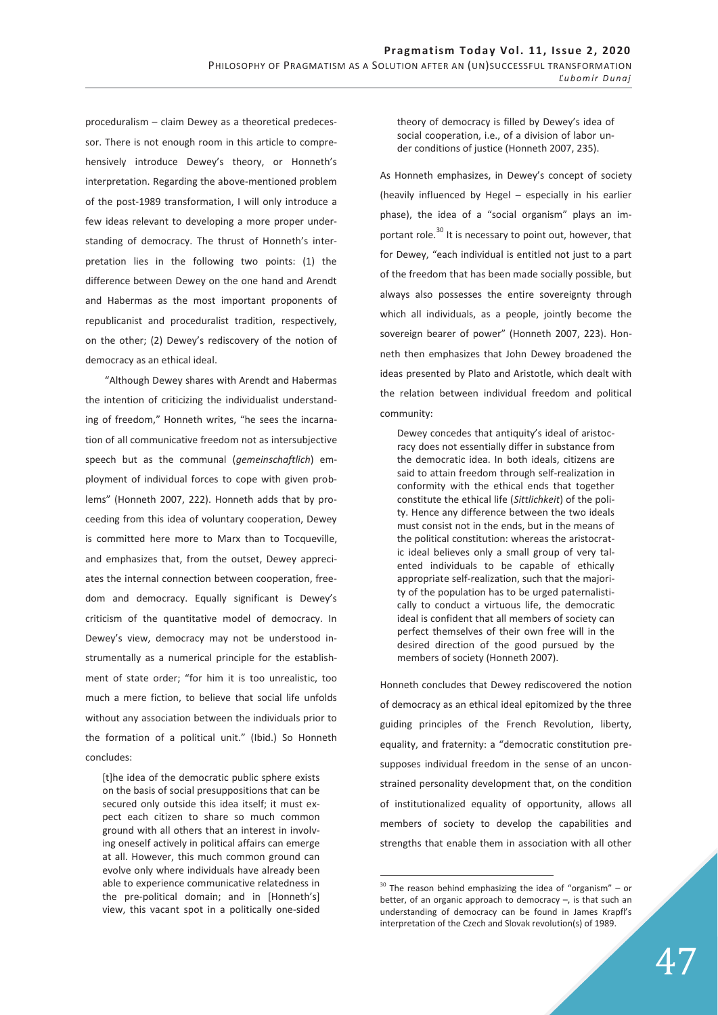proceduralism – claim Dewey as a theoretical predecessor. There is not enough room in this article to comprehensively introduce Dewey's theory, or Honneth's interpretation. Regarding the above-mentioned problem of the post-1989 transformation, I will only introduce a few ideas relevant to developing a more proper understanding of democracy. The thrust of Honneth's interpretation lies in the following two points: (1) the difference between Dewey on the one hand and Arendt and Habermas as the most important proponents of republicanist and proceduralist tradition, respectively, on the other; (2) Dewey's rediscovery of the notion of democracy as an ethical ideal.

 "Although Dewey shares with Arendt and Habermas the intention of criticizing the individualist understanding of freedom," Honneth writes, "he sees the incarnation of all communicative freedom not as intersubjective speech but as the communal (*gemeinschaftlich*) employment of individual forces to cope with given problems" (Honneth 2007, 222). Honneth adds that by proceeding from this idea of voluntary cooperation, Dewey is committed here more to Marx than to Tocqueville, and emphasizes that, from the outset, Dewey appreciates the internal connection between cooperation, freedom and democracy. Equally significant is Dewey's criticism of the quantitative model of democracy. In Dewey's view, democracy may not be understood instrumentally as a numerical principle for the establishment of state order; "for him it is too unrealistic, too much a mere fiction, to believe that social life unfolds without any association between the individuals prior to the formation of a political unit." (Ibid.) So Honneth concludes:

[t]he idea of the democratic public sphere exists on the basis of social presuppositions that can be secured only outside this idea itself; it must expect each citizen to share so much common ground with all others that an interest in involving oneself actively in political affairs can emerge at all. However, this much common ground can evolve only where individuals have already been able to experience communicative relatedness in the pre-political domain; and in [Honneth's] view, this vacant spot in a politically one-sided

theory of democracy is filled by Dewey's idea of social cooperation, i.e., of a division of labor under conditions of justice (Honneth 2007, 235).

As Honneth emphasizes, in Dewey's concept of society (heavily influenced by Hegel – especially in his earlier phase), the idea of a "social organism" plays an important role. $^{30}$  It is necessary to point out, however, that for Dewey, "each individual is entitled not just to a part of the freedom that has been made socially possible, but always also possesses the entire sovereignty through which all individuals, as a people, jointly become the sovereign bearer of power" (Honneth 2007, 223). Honneth then emphasizes that John Dewey broadened the ideas presented by Plato and Aristotle, which dealt with the relation between individual freedom and political community:

Dewey concedes that antiquity's ideal of aristocracy does not essentially differ in substance from the democratic idea. In both ideals, citizens are said to attain freedom through self-realization in conformity with the ethical ends that together constitute the ethical life (*Sittlichkeit*) of the polity. Hence any difference between the two ideals must consist not in the ends, but in the means of the political constitution: whereas the aristocratic ideal believes only a small group of very talented individuals to be capable of ethically appropriate self-realization, such that the majority of the population has to be urged paternalistically to conduct a virtuous life, the democratic ideal is confident that all members of society can perfect themselves of their own free will in the desired direction of the good pursued by the members of society (Honneth 2007).

Honneth concludes that Dewey rediscovered the notion of democracy as an ethical ideal epitomized by the three guiding principles of the French Revolution, liberty, equality, and fraternity: a "democratic constitution presupposes individual freedom in the sense of an unconstrained personality development that, on the condition of institutionalized equality of opportunity, allows all members of society to develop the capabilities and strengths that enable them in association with all other

 $30$  The reason behind emphasizing the idea of "organism" – or better, of an organic approach to democracy  $-$ , is that such an understanding of democracy can be found in James Krapfl's interpretation of the Czech and Slovak revolution(s) of 1989.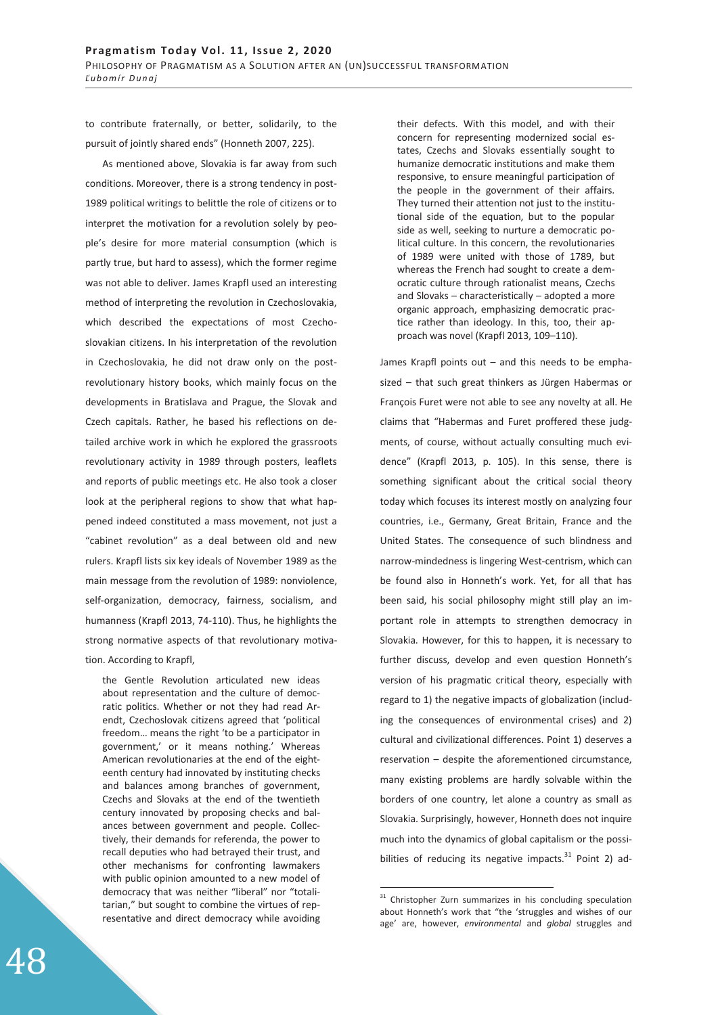to contribute fraternally, or better, solidarily, to the pursuit of jointly shared ends" (Honneth 2007, 225).

As mentioned above, Slovakia is far away from such conditions. Moreover, there is a strong tendency in post-1989 political writings to belittle the role of citizens or to interpret the motivation for a revolution solely by people's desire for more material consumption (which is partly true, but hard to assess), which the former regime was not able to deliver. James Krapfl used an interesting method of interpreting the revolution in Czechoslovakia, which described the expectations of most Czechoslovakian citizens. In his interpretation of the revolution in Czechoslovakia, he did not draw only on the postrevolutionary history books, which mainly focus on the developments in Bratislava and Prague, the Slovak and Czech capitals. Rather, he based his reflections on detailed archive work in which he explored the grassroots revolutionary activity in 1989 through posters, leaflets and reports of public meetings etc. He also took a closer look at the peripheral regions to show that what happened indeed constituted a mass movement, not just a "cabinet revolution" as a deal between old and new rulers. Krapfl lists six key ideals of November 1989 as the main message from the revolution of 1989: nonviolence, self-organization, democracy, fairness, socialism, and humanness (Krapfl 2013, 74-110). Thus, he highlights the strong normative aspects of that revolutionary motivation. According to Krapfl,

the Gentle Revolution articulated new ideas about representation and the culture of democratic politics. Whether or not they had read Arendt, Czechoslovak citizens agreed that 'political freedom… means the right 'to be a participator in government,' or it means nothing.' Whereas American revolutionaries at the end of the eighteenth century had innovated by instituting checks and balances among branches of government, Czechs and Slovaks at the end of the twentieth century innovated by proposing checks and balances between government and people. Collectively, their demands for referenda, the power to recall deputies who had betrayed their trust, and other mechanisms for confronting lawmakers with public opinion amounted to a new model of democracy that was neither "liberal" nor "totalitarian," but sought to combine the virtues of representative and direct democracy while avoiding their defects. With this model, and with their concern for representing modernized social estates, Czechs and Slovaks essentially sought to humanize democratic institutions and make them responsive, to ensure meaningful participation of the people in the government of their affairs. They turned their attention not just to the institutional side of the equation, but to the popular side as well, seeking to nurture a democratic political culture. In this concern, the revolutionaries of 1989 were united with those of 1789, but whereas the French had sought to create a democratic culture through rationalist means, Czechs and Slovaks – characteristically – adopted a more organic approach, emphasizing democratic practice rather than ideology. In this, too, their approach was novel (Krapfl 2013, 109–110).

James Krapfl points out – and this needs to be emphasized – that such great thinkers as Jürgen Habermas or François Furet were not able to see any novelty at all. He claims that "Habermas and Furet proffered these judgments, of course, without actually consulting much evidence" (Krapfl 2013, p. 105). In this sense, there is something significant about the critical social theory today which focuses its interest mostly on analyzing four countries, i.e., Germany, Great Britain, France and the United States. The consequence of such blindness and narrow-mindedness is lingering West-centrism, which can be found also in Honneth's work. Yet, for all that has been said, his social philosophy might still play an important role in attempts to strengthen democracy in Slovakia. However, for this to happen, it is necessary to further discuss, develop and even question Honneth's version of his pragmatic critical theory, especially with regard to 1) the negative impacts of globalization (including the consequences of environmental crises) and 2) cultural and civilizational differences. Point 1) deserves a reservation – despite the aforementioned circumstance, many existing problems are hardly solvable within the borders of one country, let alone a country as small as Slovakia. Surprisingly, however, Honneth does not inquire much into the dynamics of global capitalism or the possibilities of reducing its negative impacts. $31$  Point 2) ad-

<sup>&</sup>lt;sup>31</sup> Christopher Zurn summarizes in his concluding speculation about Honneth's work that "the 'struggles and wishes of our age' are, however, *environmental* and *global* struggles and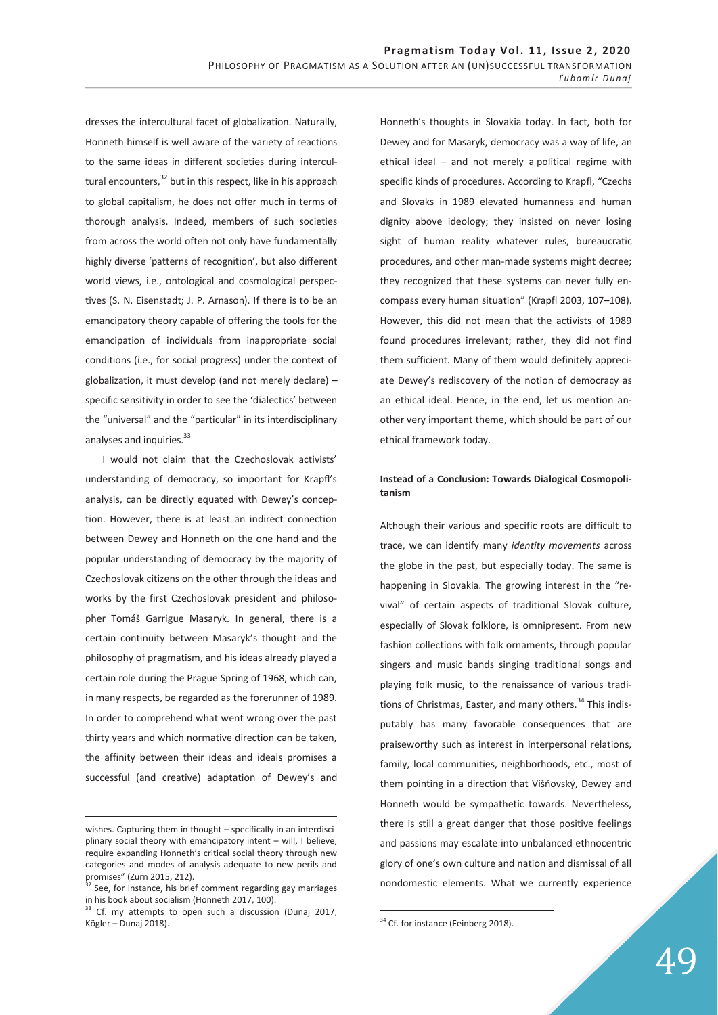dresses the intercultural facet of globalization. Naturally, Honneth himself is well aware of the variety of reactions to the same ideas in different societies during intercultural encounters,<sup>32</sup> but in this respect, like in his approach to global capitalism, he does not offer much in terms of thorough analysis. Indeed, members of such societies from across the world often not only have fundamentally highly diverse 'patterns of recognition', but also different world views, i.e., ontological and cosmological perspectives (S. N. Eisenstadt; J. P. Arnason). If there is to be an emancipatory theory capable of offering the tools for the emancipation of individuals from inappropriate social conditions (i.e., for social progress) under the context of globalization, it must develop (and not merely declare) – specific sensitivity in order to see the 'dialectics' between the "universal" and the "particular" in its interdisciplinary analyses and inquiries.<sup>33</sup>

I would not claim that the Czechoslovak activists' understanding of democracy, so important for Krapfl's analysis, can be directly equated with Dewey's conception. However, there is at least an indirect connection between Dewey and Honneth on the one hand and the popular understanding of democracy by the majority of Czechoslovak citizens on the other through the ideas and works by the first Czechoslovak president and philosopher Tomáš Garrigue Masaryk. In general, there is a certain continuity between Masaryk's thought and the philosophy of pragmatism, and his ideas already played a certain role during the Prague Spring of 1968, which can, in many respects, be regarded as the forerunner of 1989. In order to comprehend what went wrong over the past thirty years and which normative direction can be taken, the affinity between their ideas and ideals promises a successful (and creative) adaptation of Dewey's and

-

Honneth's thoughts in Slovakia today. In fact, both for Dewey and for Masaryk, democracy was a way of life, an ethical ideal – and not merely a political regime with specific kinds of procedures. According to Krapfl, "Czechs and Slovaks in 1989 elevated humanness and human dignity above ideology; they insisted on never losing sight of human reality whatever rules, bureaucratic procedures, and other man-made systems might decree; they recognized that these systems can never fully encompass every human situation" (Krapfl 2003, 107–108). However, this did not mean that the activists of 1989 found procedures irrelevant; rather, they did not find them sufficient. Many of them would definitely appreciate Dewey's rediscovery of the notion of democracy as an ethical ideal. Hence, in the end, let us mention another very important theme, which should be part of our ethical framework today.

## **Instead of a Conclusion: Towards Dialogical Cosmopolitanism**

Although their various and specific roots are difficult to trace, we can identify many *identity movements* across the globe in the past, but especially today. The same is happening in Slovakia. The growing interest in the "revival" of certain aspects of traditional Slovak culture, especially of Slovak folklore, is omnipresent. From new fashion collections with folk ornaments, through popular singers and music bands singing traditional songs and playing folk music, to the renaissance of various traditions of Christmas, Easter, and many others.<sup>34</sup> This indisputably has many favorable consequences that are praiseworthy such as interest in interpersonal relations, family, local communities, neighborhoods, etc., most of them pointing in a direction that Višňovský, Dewey and Honneth would be sympathetic towards. Nevertheless, there is still a great danger that those positive feelings and passions may escalate into unbalanced ethnocentric glory of one's own culture and nation and dismissal of all nondomestic elements. What we currently experience

wishes. Capturing them in thought – specifically in an interdisciplinary social theory with emancipatory intent – will, I believe, require expanding Honneth's critical social theory through new categories and modes of analysis adequate to new perils and promises" (Zurn 2015, 212).

 $32$  See, for instance, his brief comment regarding gay marriages in his book about socialism (Honneth 2017, 100).

<sup>&</sup>lt;sup>33</sup> Cf. my attempts to open such a discussion (Dunaj 2017, Kögler – Dunaj 2018).

<sup>&</sup>lt;sup>34</sup> Cf. for instance (Feinberg 2018).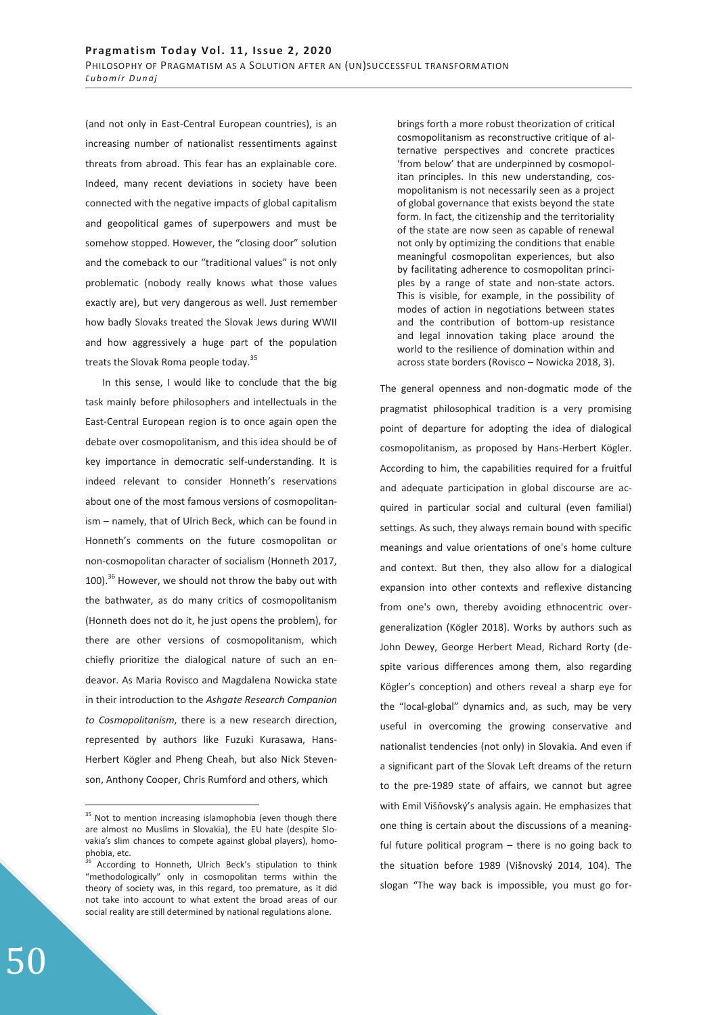(and not only in East-Central European countries), is an increasing number of nationalist ressentiments against threats from abroad. This fear has an explainable core. Indeed, many recent deviations in society have been connected with the negative impacts of global capitalism and geopolitical games of superpowers and must be somehow stopped. However, the "closing door" solution and the comeback to our "traditional values" is not only problematic (nobody really knows what those values exactly are), but very dangerous as well. Just remember how badly Slovaks treated the Slovak Jews during WWII and how aggressively a huge part of the population treats the Slovak Roma people today.<sup>35</sup>

In this sense, I would like to conclude that the big task mainly before philosophers and intellectuals in the East-Central European region is to once again open the debate over cosmopolitanism, and this idea should be of key importance in democratic self-understanding. It is indeed relevant to consider Honneth's reservations about one of the most famous versions of cosmopolitanism – namely, that of Ulrich Beck, which can be found in Honneth's comments on the future cosmopolitan or non-cosmopolitan character of socialism (Honneth 2017, 100).<sup>36</sup> However, we should not throw the baby out with the bathwater, as do many critics of cosmopolitanism (Honneth does not do it, he just opens the problem), for there are other versions of cosmopolitanism, which chiefly prioritize the dialogical nature of such an endeavor. As Maria Rovisco and Magdalena Nowicka state in their introduction to the *Ashgate Research Companion to Cosmopolitanism*, there is a new research direction, represented by authors like Fuzuki Kurasawa, Hans-Herbert Kögler and Pheng Cheah, but also Nick Stevenson, Anthony Cooper, Chris Rumford and others, which

brings forth a more robust theorization of critical cosmopolitanism as reconstructive critique of alternative perspectives and concrete practices 'from below' that are underpinned by cosmopolitan principles. In this new understanding, cosmopolitanism is not necessarily seen as a project of global governance that exists beyond the state form. In fact, the citizenship and the territoriality of the state are now seen as capable of renewal not only by optimizing the conditions that enable meaningful cosmopolitan experiences, but also by facilitating adherence to cosmopolitan principles by a range of state and non-state actors. This is visible, for example, in the possibility of modes of action in negotiations between states and the contribution of bottom-up resistance and legal innovation taking place around the world to the resilience of domination within and across state borders (Rovisco – Nowicka 2018, 3).

The general openness and non-dogmatic mode of the pragmatist philosophical tradition is a very promising point of departure for adopting the idea of dialogical cosmopolitanism, as proposed by Hans-Herbert Kögler. According to him, the capabilities required for a fruitful and adequate participation in global discourse are acquired in particular social and cultural (even familial) settings. As such, they always remain bound with specific meanings and value orientations of one's home culture and context. But then, they also allow for a dialogical expansion into other contexts and reflexive distancing from one's own, thereby avoiding ethnocentric overgeneralization (Kögler 2018). Works by authors such as John Dewey, George Herbert Mead, Richard Rorty (despite various differences among them, also regarding Kögler's conception) and others reveal a sharp eye for the "local-global" dynamics and, as such, may be very useful in overcoming the growing conservative and nationalist tendencies (not only) in Slovakia. And even if a significant part of the Slovak Left dreams of the return to the pre-1989 state of affairs, we cannot but agree with Emil Višňovský's analysis again. He emphasizes that one thing is certain about the discussions of a meaningful future political program – there is no going back to the situation before 1989 (Višnovský 2014, 104). The slogan "The way back is impossible, you must go for-

<sup>&</sup>lt;sup>35</sup> Not to mention increasing islamophobia (even though there are almost no Muslims in Slovakia), the EU hate (despite Slovakia's slim chances to compete against global players), homophobia, etc.

According to Honneth, Ulrich Beck's stipulation to think "methodologically" only in cosmopolitan terms within the theory of society was, in this regard, too premature, as it did not take into account to what extent the broad areas of our social reality are still determined by national regulations alone.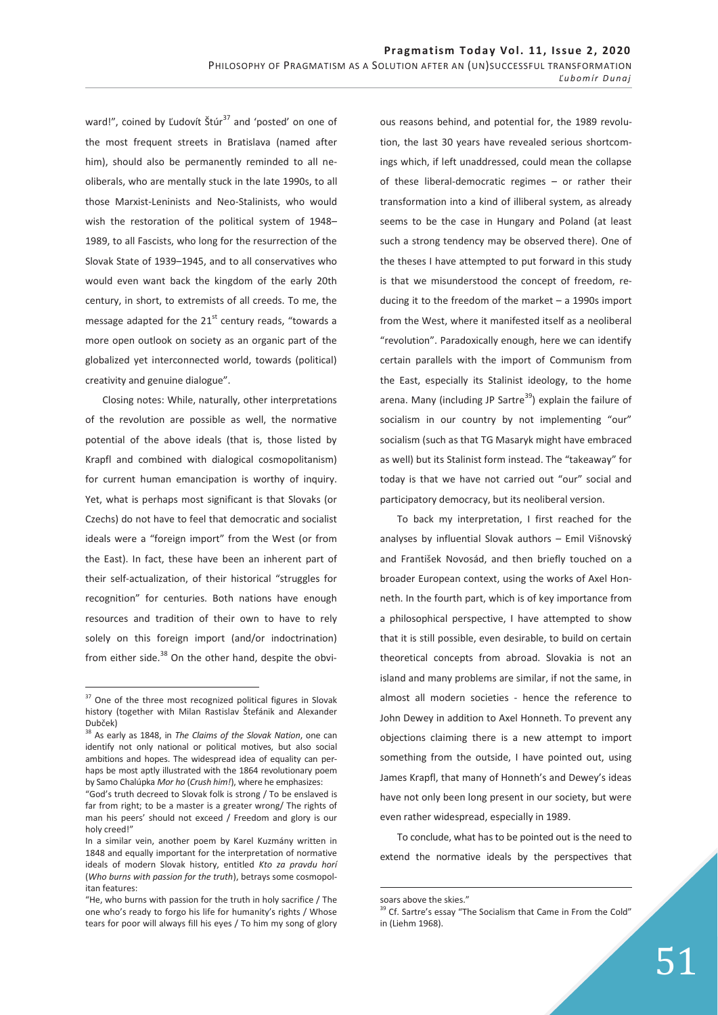ward!", coined by Ľudovít Štúr $37$  and 'posted' on one of the most frequent streets in Bratislava (named after him), should also be permanently reminded to all neoliberals, who are mentally stuck in the late 1990s, to all those Marxist-Leninists and Neo-Stalinists, who would wish the restoration of the political system of 1948– 1989, to all Fascists, who long for the resurrection of the Slovak State of 1939–1945, and to all conservatives who would even want back the kingdom of the early 20th century, in short, to extremists of all creeds. To me, the message adapted for the  $21<sup>st</sup>$  century reads, "towards a more open outlook on society as an organic part of the globalized yet interconnected world, towards (political) creativity and genuine dialogue".

Closing notes: While, naturally, other interpretations of the revolution are possible as well, the normative potential of the above ideals (that is, those listed by Krapfl and combined with dialogical cosmopolitanism) for current human emancipation is worthy of inquiry. Yet, what is perhaps most significant is that Slovaks (or Czechs) do not have to feel that democratic and socialist ideals were a "foreign import" from the West (or from the East). In fact, these have been an inherent part of their self-actualization, of their historical "struggles for recognition" for centuries. Both nations have enough resources and tradition of their own to have to rely solely on this foreign import (and/or indoctrination) from either side. $38$  On the other hand, despite the obvi-

 $\overline{a}$ 

ous reasons behind, and potential for, the 1989 revolution, the last 30 years have revealed serious shortcomings which, if left unaddressed, could mean the collapse of these liberal-democratic regimes – or rather their transformation into a kind of illiberal system, as already seems to be the case in Hungary and Poland (at least such a strong tendency may be observed there). One of the theses I have attempted to put forward in this study is that we misunderstood the concept of freedom, reducing it to the freedom of the market – a 1990s import from the West, where it manifested itself as a neoliberal "revolution". Paradoxically enough, here we can identify certain parallels with the import of Communism from the East, especially its Stalinist ideology, to the home arena. Many (including JP Sartre<sup>39</sup>) explain the failure of socialism in our country by not implementing "our" socialism (such as that TG Masaryk might have embraced as well) but its Stalinist form instead. The "takeaway" for today is that we have not carried out "our" social and participatory democracy, but its neoliberal version.

To back my interpretation, I first reached for the analyses by influential Slovak authors – Emil Višnovský and František Novosád, and then briefly touched on a broader European context, using the works of Axel Honneth. In the fourth part, which is of key importance from a philosophical perspective, I have attempted to show that it is still possible, even desirable, to build on certain theoretical concepts from abroad. Slovakia is not an island and many problems are similar, if not the same, in almost all modern societies - hence the reference to John Dewey in addition to Axel Honneth. To prevent any objections claiming there is a new attempt to import something from the outside, I have pointed out, using James Krapfl, that many of Honneth's and Dewey's ideas have not only been long present in our society, but were even rather widespread, especially in 1989.

To conclude, what has to be pointed out is the need to extend the normative ideals by the perspectives that

<sup>&</sup>lt;sup>37</sup> One of the three most recognized political figures in Slovak history (together with Milan Rastislav Štefánik and Alexander Dubček)

<sup>38</sup> As early as 1848, in *The Claims of the Slovak Nation*, one can identify not only national or political motives, but also social ambitions and hopes. The widespread idea of equality can perhaps be most aptly illustrated with the 1864 revolutionary poem by Samo Chalúpka *Mor ho* (*Crush him!*), where he emphasizes:

<sup>&</sup>quot;God's truth decreed to Slovak folk is strong / To be enslaved is far from right; to be a master is a greater wrong/ The rights of man his peers' should not exceed / Freedom and glory is our holy creed!"

In a similar vein, another poem by Karel Kuzmány written in 1848 and equally important for the interpretation of normative ideals of modern Slovak history, entitled *Kto za pravdu horí*  (*Who burns with passion for the truth*), betrays some cosmopolitan features:

<sup>&</sup>quot;He, who burns with passion for the truth in holy sacrifice / The one who's ready to forgo his life for humanity's rights / Whose tears for poor will always fill his eyes / To him my song of glory

soars above the skies."

<sup>&</sup>lt;sup>39</sup> Cf. Sartre's essay "The Socialism that Came in From the Cold" in (Liehm 1968).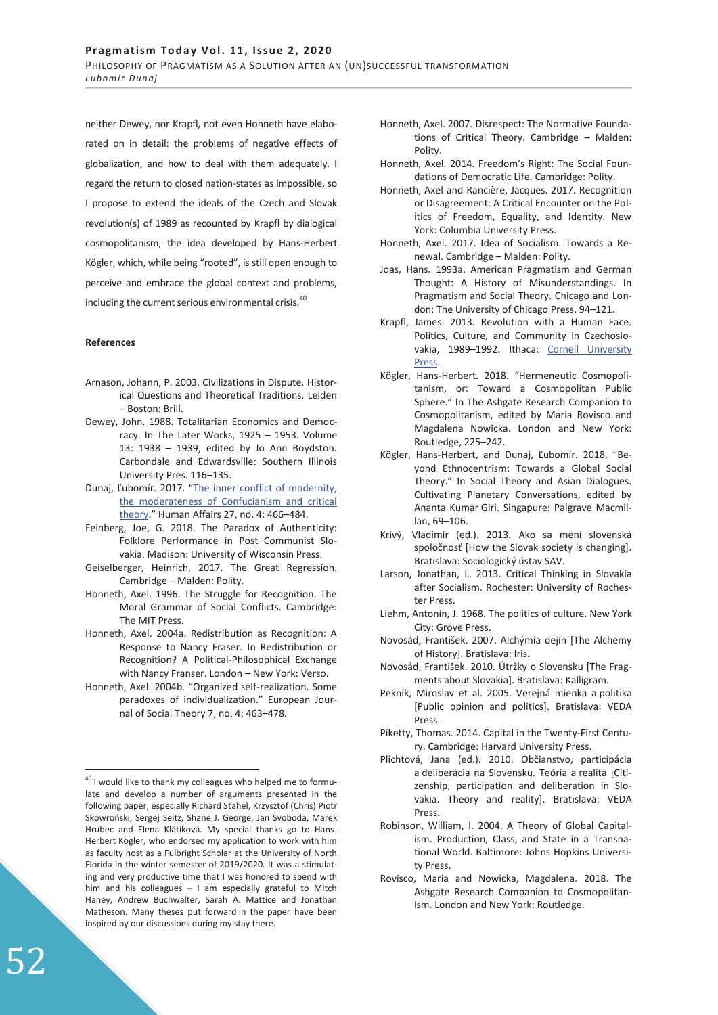neither Dewey, nor Krapfl, not even Honneth have elaborated on in detail: the problems of negative effects of globalization, and how to deal with them adequately. I regard the return to closed nation-states as impossible, so I propose to extend the ideals of the Czech and Slovak revolution(s) of 1989 as recounted by Krapfl by dialogical cosmopolitanism, the idea developed by Hans-Herbert Kögler, which, while being "rooted", is still open enough to perceive and embrace the global context and problems, including the current serious environmental crisis.<sup>40</sup>

#### **References**

- Arnason, Johann, P. 2003. Civilizations in Dispute. Historical Questions and Theoretical Traditions. Leiden – Boston: Brill.
- Dewey, John. 1988. Totalitarian Economics and Democracy. In The Later Works, 1925 – 1953. Volume 13: 1938 – 1939, edited by Jo Ann Boydston. Carbondale and Edwardsville: Southern Illinois University Pres. 116–135.
- Dunaj, Ľubomír. 2017. "The inner conflict of modernity, the moderateness of Confucianism and critical theory." Human Affairs 27, no. 4: 466–484.
- Feinberg, Joe, G. 2018. The Paradox of Authenticity: Folklore Performance in Post–Communist Slovakia. Madison: University of Wisconsin Press.
- Geiselberger, Heinrich. 2017. The Great Regression. Cambridge – Malden: Polity.
- Honneth, Axel. 1996. The Struggle for Recognition. The Moral Grammar of Social Conflicts. Cambridge: The MIT Press.
- Honneth, Axel. 2004a. Redistribution as Recognition: A Response to Nancy Fraser. In Redistribution or Recognition? A Political-Philosophical Exchange with Nancy Franser. London – New York: Verso.
- Honneth, Axel. 2004b. "Organized self-realization. Some paradoxes of individualization." European Journal of Social Theory 7, no. 4: 463–478.
- Honneth, Axel. 2007. Disrespect: The Normative Foundations of Critical Theory. Cambridge – Malden: Polity.
- Honneth, Axel. 2014. Freedom's Right: The Social Foundations of Democratic Life. Cambridge: Polity.
- Honneth, Axel and Rancière, Jacques. 2017. Recognition or Disagreement: A Critical Encounter on the Politics of Freedom, Equality, and Identity. New York: Columbia University Press.
- Honneth, Axel. 2017. Idea of Socialism. Towards a Renewal. Cambridge – Malden: Polity.
- Joas, Hans. 1993a. American Pragmatism and German Thought: A History of Misunderstandings. In Pragmatism and Social Theory. Chicago and London: The University of Chicago Press, 94–121.
- Krapfl, James. 2013. Revolution with a Human Face. Politics, Culture, and Community in Czechoslovakia, 1989-1992. Ithaca: Cornell University Press.
- Kögler, Hans-Herbert. 2018. "Hermeneutic Cosmopolitanism, or: Toward a Cosmopolitan Public Sphere." In The Ashgate Research Companion to Cosmopolitanism, edited by Maria Rovisco and Magdalena Nowicka. London and New York: Routledge, 225–242.
- Kögler, Hans-Herbert, and Dunaj, Ľubomír. 2018. "Beyond Ethnocentrism: Towards a Global Social Theory." In Social Theory and Asian Dialogues. Cultivating Planetary Conversations, edited by Ananta Kumar Giri. Singapure: Palgrave Macmillan, 69–106.
- Krivý, Vladimír (ed.). 2013. Ako sa mení slovenská spoločnosť [How the Slovak society is changing]. Bratislava: Sociologický ústav SAV.
- Larson, Jonathan, L. 2013. Critical Thinking in Slovakia after Socialism. Rochester: University of Rochester Press.
- Liehm, Antonín, J. 1968. The politics of culture. New York City: Grove Press.
- Novosád, František. 2007. Alchýmia dejín [The Alchemy of History]. Bratislava: Iris.
- Novosád, František. 2010. Útržky o Slovensku [The Fragments about Slovakia]. Bratislava: Kalligram.
- Pekník, Miroslav et al. 2005. Verejná mienka a politika [Public opinion and politics]. Bratislava: VEDA Press.
- Piketty, Thomas. 2014. Capital in the Twenty-First Century. Cambridge: Harvard University Press.
- Plichtová, Jana (ed.). 2010. Občianstvo, participácia a deliberácia na Slovensku. Teória a realita [Citizenship, participation and deliberation in Slovakia. Theory and reality]. Bratislava: VEDA Press.
- Robinson, William, I. 2004. A Theory of Global Capitalism. Production, Class, and State in a Transnational World. Baltimore: Johns Hopkins University Press.
- Rovisco, Maria and Nowicka, Magdalena. 2018. The Ashgate Research Companion to Cosmopolitanism. London and New York: Routledge.

 $40$  I would like to thank my colleagues who helped me to formulate and develop a number of arguments presented in the following paper, especially Richard Sťahel, Krzysztof (Chris) Piotr Skowroński, Sergej Seitz, Shane J. George, Jan Svoboda, Marek Hrubec and Elena Klátiková. My special thanks go to Hans-Herbert Kögler, who endorsed my application to work with him as faculty host as a Fulbright Scholar at the University of North Florida in the winter semester of 2019/2020. It was a stimulating and very productive time that I was honored to spend with him and his colleagues – I am especially grateful to Mitch Haney, Andrew Buchwalter, Sarah A. Mattice and Jonathan Matheson. Many theses put forward in the paper have been inspired by our discussions during my stay there.